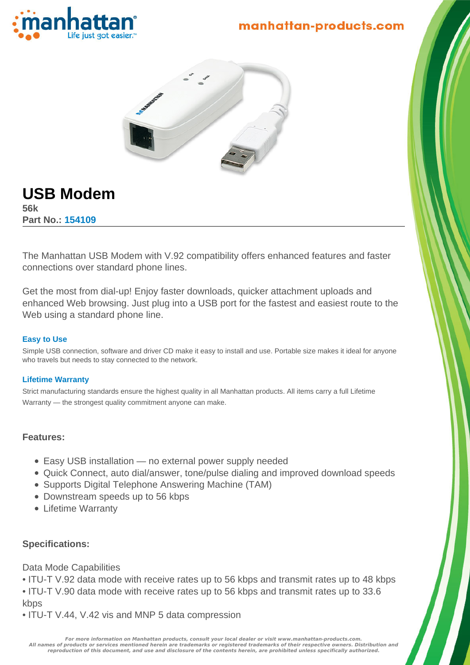

# manhattan-products.com



# **USB Modem**

**56k Part No.: 154109**

The Manhattan USB Modem with V.92 compatibility offers enhanced features and faster connections over standard phone lines.

Get the most from dial-up! Enjoy faster downloads, quicker attachment uploads and enhanced Web browsing. Just plug into a USB port for the fastest and easiest route to the Web using a standard phone line.

#### **Easy to Use**

Simple USB connection, software and driver CD make it easy to install and use. Portable size makes it ideal for anyone who travels but needs to stay connected to the network.

#### **Lifetime Warranty**

Strict manufacturing standards ensure the highest quality in all Manhattan products. All items carry a full Lifetime Warranty — the strongest quality commitment anyone can make.

#### **Features:**

- Easy USB installation no external power supply needed
- Quick Connect, auto dial/answer, tone/pulse dialing and improved download speeds
- Supports Digital Telephone Answering Machine (TAM)
- Downstream speeds up to 56 kbps
- Lifetime Warranty

#### **Specifications:**

Data Mode Capabilities

- ITU-T V.92 data mode with receive rates up to 56 kbps and transmit rates up to 48 kbps
- ITU-T V.90 data mode with receive rates up to 56 kbps and transmit rates up to 33.6 kbps
- ITU-T V.44, V.42 vis and MNP 5 data compression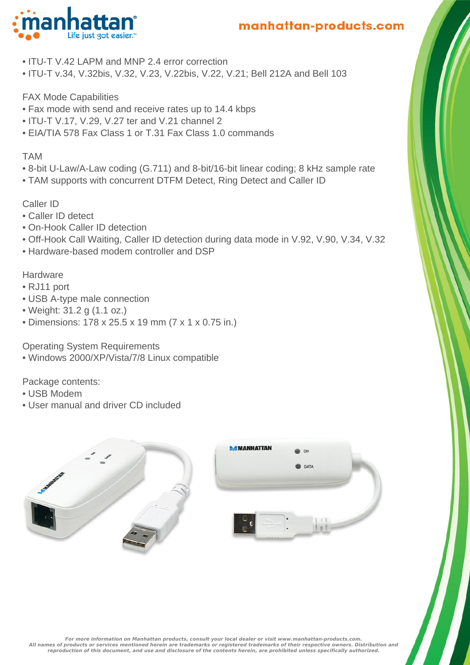

- ITU-T V.42 LAPM and MNP 2.4 error correction
- ITU-T v.34, V.32bis, V.32, V.23, V.22bis, V.22, V.21; Bell 212A and Bell 103

# FAX Mode Capabilities

- Fax mode with send and receive rates up to 14.4 kbps
- ITU-T V.17, V.29, V.27 ter and V.21 channel 2
- EIA/TIA 578 Fax Class 1 or T.31 Fax Class 1.0 commands

## TAM

- 8-bit U-Law/A-Law coding (G.711) and 8-bit/16-bit linear coding; 8 kHz sample rate
- TAM supports with concurrent DTFM Detect, Ring Detect and Caller ID

# Caller ID

- Caller ID detect
- On-Hook Caller ID detection
- Off-Hook Call Waiting, Caller ID detection during data mode in V.92, V.90, V.34, V.32
- Hardware-based modem controller and DSP

# **Hardware**

- RJ11 port
- USB A-type male connection
- Weight: 31.2 g (1.1 oz.)
- Dimensions: 178 x 25.5 x 19 mm (7 x 1 x 0.75 in.)

Operating System Requirements

• Windows 2000/XP/Vista/7/8 Linux compatible

Package contents:

- USB Modem
- User manual and driver CD included